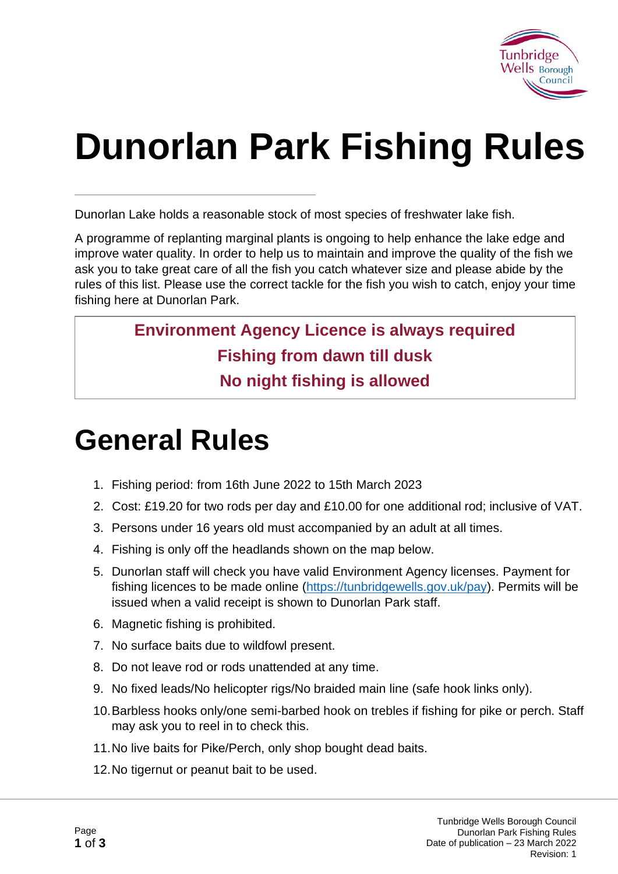

# **Dunorlan Park Fishing Rules**

Dunorlan Lake holds a reasonable stock of most species of freshwater lake fish.

A programme of replanting marginal plants is ongoing to help enhance the lake edge and improve water quality. In order to help us to maintain and improve the quality of the fish we ask you to take great care of all the fish you catch whatever size and please abide by the rules of this list. Please use the correct tackle for the fish you wish to catch, enjoy your time fishing here at Dunorlan Park.

#### **Environment Agency Licence is always required Fishing from dawn till dusk No night fishing is allowed**

# **General Rules**

- 1. Fishing period: from 16th June 2022 to 15th March 2023
- 2. Cost: £19.20 for two rods per day and £10.00 for one additional rod; inclusive of VAT.
- 3. Persons under 16 years old must accompanied by an adult at all times.
- 4. Fishing is only off the headlands shown on the map below.
- 5. Dunorlan staff will check you have valid Environment Agency licenses. Payment for fishing licences to be made online [\(https://tunbridgewells.gov.uk/pay\)](https://tunbridgewells.gov.uk/pay). Permits will be issued when a valid receipt is shown to Dunorlan Park staff.
- 6. Magnetic fishing is prohibited.
- 7. No surface baits due to wildfowl present.
- 8. Do not leave rod or rods unattended at any time.
- 9. No fixed leads/No helicopter rigs/No braided main line (safe hook links only).
- 10.Barbless hooks only/one semi-barbed hook on trebles if fishing for pike or perch. Staff may ask you to reel in to check this.
- 11.No live baits for Pike/Perch, only shop bought dead baits.
- 12.No tigernut or peanut bait to be used.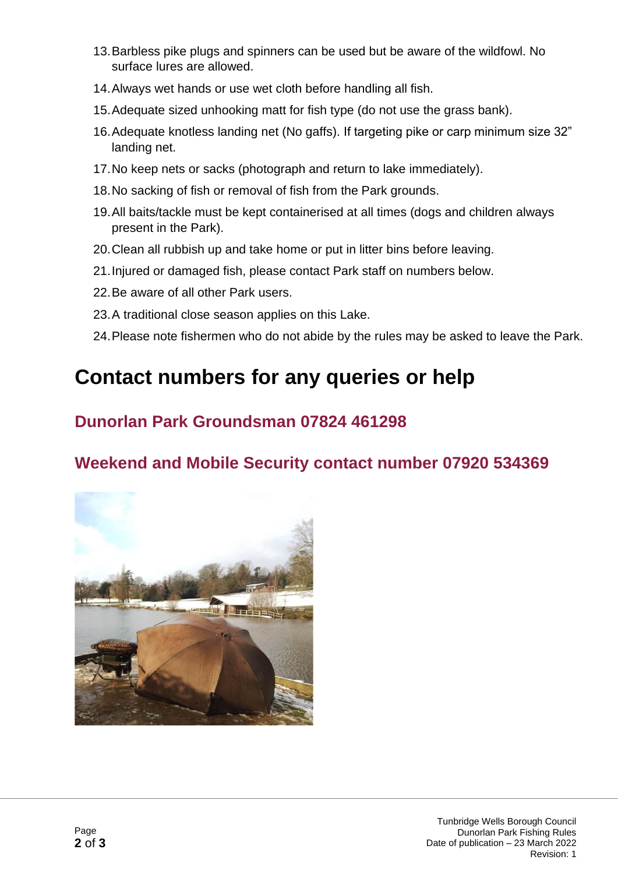- 13.Barbless pike plugs and spinners can be used but be aware of the wildfowl. No surface lures are allowed.
- 14.Always wet hands or use wet cloth before handling all fish.
- 15.Adequate sized unhooking matt for fish type (do not use the grass bank).
- 16.Adequate knotless landing net (No gaffs). If targeting pike or carp minimum size 32" landing net.
- 17.No keep nets or sacks (photograph and return to lake immediately).
- 18.No sacking of fish or removal of fish from the Park grounds.
- 19.All baits/tackle must be kept containerised at all times (dogs and children always present in the Park).
- 20.Clean all rubbish up and take home or put in litter bins before leaving.
- 21.Injured or damaged fish, please contact Park staff on numbers below.
- 22.Be aware of all other Park users.
- 23.A traditional close season applies on this Lake.
- 24.Please note fishermen who do not abide by the rules may be asked to leave the Park.

### **Contact numbers for any queries or help**

#### **Dunorlan Park Groundsman 07824 461298**

#### **Weekend and Mobile Security contact number 07920 534369**